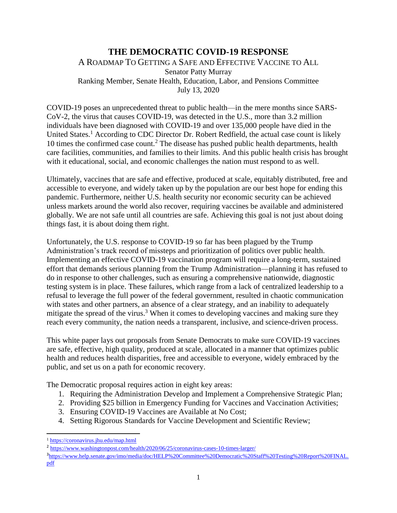## **THE DEMOCRATIC COVID-19 RESPONSE** A ROADMAP TO GETTING A SAFE AND EFFECTIVE VACCINE TO ALL Senator Patty Murray Ranking Member, Senate Health, Education, Labor, and Pensions Committee July 13, 2020

COVID-19 poses an unprecedented threat to public health—in the mere months since SARS-CoV-2, the virus that causes COVID-19, was detected in the U.S., more than 3.2 million individuals have been diagnosed with COVID-19 and over 135,000 people have died in the United States.<sup>1</sup> According to CDC Director Dr. Robert Redfield, the actual case count is likely 10 times the confirmed case count.<sup>2</sup> The disease has pushed public health departments, health care facilities, communities, and families to their limits. And this public health crisis has brought with it educational, social, and economic challenges the nation must respond to as well.

Ultimately, vaccines that are safe and effective, produced at scale, equitably distributed, free and accessible to everyone, and widely taken up by the population are our best hope for ending this pandemic. Furthermore, neither U.S. health security nor economic security can be achieved unless markets around the world also recover, requiring vaccines be available and administered globally. We are not safe until all countries are safe. Achieving this goal is not just about doing things fast, it is about doing them right.

Unfortunately, the U.S. response to COVID-19 so far has been plagued by the Trump Administration's track record of missteps and prioritization of politics over public health. Implementing an effective COVID-19 vaccination program will require a long-term, sustained effort that demands serious planning from the Trump Administration—planning it has refused to do in response to other challenges, such as ensuring a comprehensive nationwide, diagnostic testing system is in place. These failures, which range from a lack of centralized leadership to a refusal to leverage the full power of the federal government, resulted in chaotic communication with states and other partners, an absence of a clear strategy, and an inability to adequately mitigate the spread of the virus.<sup>3</sup> When it comes to developing vaccines and making sure they reach every community, the nation needs a transparent, inclusive, and science-driven process.

This white paper lays out proposals from Senate Democrats to make sure COVID-19 vaccines are safe, effective, high quality, produced at scale, allocated in a manner that optimizes public health and reduces health disparities, free and accessible to everyone, widely embraced by the public, and set us on a path for economic recovery.

The Democratic proposal requires action in eight key areas:

- 1. Requiring the Administration Develop and Implement a Comprehensive Strategic Plan;
- 2. Providing \$25 billion in Emergency Funding for Vaccines and Vaccination Activities;
- 3. Ensuring COVID-19 Vaccines are Available at No Cost;
- 4. Setting Rigorous Standards for Vaccine Development and Scientific Review;

3 [https://www.help.senate.gov/imo/media/doc/HELP%20Committee%20Democratic%20Staff%20Testing%20Report%20FINAL.](https://www.help.senate.gov/imo/media/doc/HELP%20Committee%20Democratic%20Staff%20Testing%20Report%20FINAL.pdf) [pdf](https://www.help.senate.gov/imo/media/doc/HELP%20Committee%20Democratic%20Staff%20Testing%20Report%20FINAL.pdf)

l <sup>1</sup> <https://coronavirus.jhu.edu/map.html>

<sup>&</sup>lt;sup>2</sup> <https://www.washingtonpost.com/health/2020/06/25/coronavirus-cases-10-times-larger/>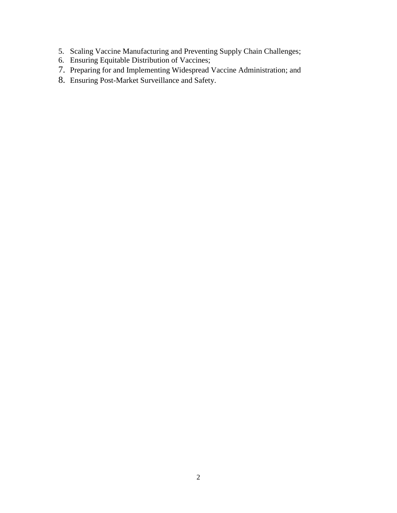- 5. Scaling Vaccine Manufacturing and Preventing Supply Chain Challenges;
- 6. Ensuring Equitable Distribution of Vaccines;
- 7. Preparing for and Implementing Widespread Vaccine Administration; and
- 8. Ensuring Post-Market Surveillance and Safety.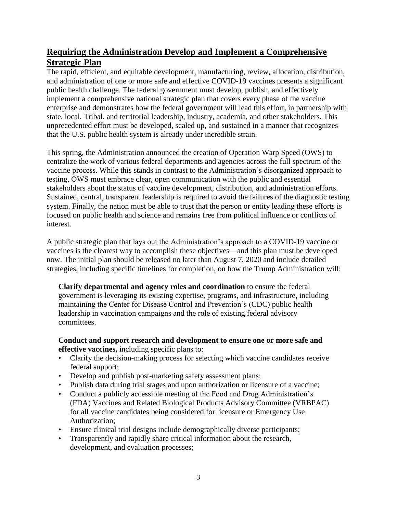# **Requiring the Administration Develop and Implement a Comprehensive Strategic Plan**

The rapid, efficient, and equitable development, manufacturing, review, allocation, distribution, and administration of one or more safe and effective COVID-19 vaccines presents a significant public health challenge. The federal government must develop, publish, and effectively implement a comprehensive national strategic plan that covers every phase of the vaccine enterprise and demonstrates how the federal government will lead this effort, in partnership with state, local, Tribal, and territorial leadership, industry, academia, and other stakeholders. This unprecedented effort must be developed, scaled up, and sustained in a manner that recognizes that the U.S. public health system is already under incredible strain.

This spring, the Administration announced the creation of Operation Warp Speed (OWS) to centralize the work of various federal departments and agencies across the full spectrum of the vaccine process. While this stands in contrast to the Administration's disorganized approach to testing, OWS must embrace clear, open communication with the public and essential stakeholders about the status of vaccine development, distribution, and administration efforts. Sustained, central, transparent leadership is required to avoid the failures of the diagnostic testing system. Finally, the nation must be able to trust that the person or entity leading these efforts is focused on public health and science and remains free from political influence or conflicts of interest.

A public strategic plan that lays out the Administration's approach to a COVID-19 vaccine or vaccines is the clearest way to accomplish these objectives—and this plan must be developed now. The initial plan should be released no later than August 7, 2020 and include detailed strategies, including specific timelines for completion, on how the Trump Administration will:

**Clarify departmental and agency roles and coordination** to ensure the federal government is leveraging its existing expertise, programs, and infrastructure, including maintaining the Center for Disease Control and Prevention's (CDC) public health leadership in vaccination campaigns and the role of existing federal advisory committees.

#### **Conduct and support research and development to ensure one or more safe and effective vaccines,** including specific plans to:

- Clarify the decision-making process for selecting which vaccine candidates receive federal support;
- Develop and publish post-marketing safety assessment plans;
- Publish data during trial stages and upon authorization or licensure of a vaccine;
- Conduct a publicly accessible meeting of the Food and Drug Administration's (FDA) Vaccines and Related Biological Products Advisory Committee (VRBPAC) for all vaccine candidates being considered for licensure or Emergency Use Authorization;
- Ensure clinical trial designs include demographically diverse participants;
- Transparently and rapidly share critical information about the research, development, and evaluation processes;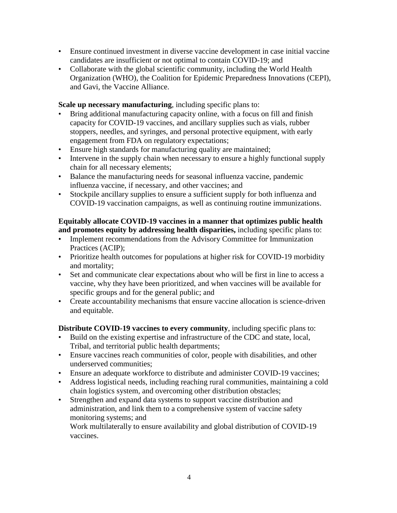- Ensure continued investment in diverse vaccine development in case initial vaccine candidates are insufficient or not optimal to contain COVID-19; and
- Collaborate with the global scientific community, including the World Health Organization (WHO), the Coalition for Epidemic Preparedness Innovations (CEPI), and Gavi, the Vaccine Alliance.

**Scale up necessary manufacturing**, including specific plans to:

- Bring additional manufacturing capacity online, with a focus on fill and finish capacity for COVID-19 vaccines, and ancillary supplies such as vials, rubber stoppers, needles, and syringes, and personal protective equipment, with early engagement from FDA on regulatory expectations;
- Ensure high standards for manufacturing quality are maintained;
- Intervene in the supply chain when necessary to ensure a highly functional supply chain for all necessary elements;
- Balance the manufacturing needs for seasonal influenza vaccine, pandemic influenza vaccine, if necessary, and other vaccines; and
- Stockpile ancillary supplies to ensure a sufficient supply for both influenza and COVID-19 vaccination campaigns, as well as continuing routine immunizations.

### **Equitably allocate COVID-19 vaccines in a manner that optimizes public health and promotes equity by addressing health disparities,** including specific plans to:

- Implement recommendations from the Advisory Committee for Immunization Practices (ACIP);
- Prioritize health outcomes for populations at higher risk for COVID-19 morbidity and mortality;
- Set and communicate clear expectations about who will be first in line to access a vaccine, why they have been prioritized, and when vaccines will be available for specific groups and for the general public; and
- Create accountability mechanisms that ensure vaccine allocation is science-driven and equitable.

**Distribute COVID-19 vaccines to every community**, including specific plans to:

- Build on the existing expertise and infrastructure of the CDC and state, local, Tribal, and territorial public health departments;
- Ensure vaccines reach communities of color, people with disabilities, and other underserved communities;
- Ensure an adequate workforce to distribute and administer COVID-19 vaccines;
- Address logistical needs, including reaching rural communities, maintaining a cold chain logistics system, and overcoming other distribution obstacles;
- Strengthen and expand data systems to support vaccine distribution and administration, and link them to a comprehensive system of vaccine safety monitoring systems; and Work multilaterally to ensure availability and global distribution of COVID-19 vaccines.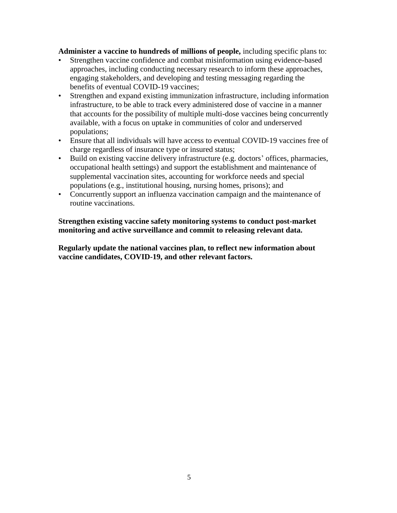**Administer a vaccine to hundreds of millions of people,** including specific plans to:

- Strengthen vaccine confidence and combat misinformation using evidence-based approaches, including conducting necessary research to inform these approaches, engaging stakeholders, and developing and testing messaging regarding the benefits of eventual COVID-19 vaccines;
- Strengthen and expand existing immunization infrastructure, including information infrastructure, to be able to track every administered dose of vaccine in a manner that accounts for the possibility of multiple multi-dose vaccines being concurrently available, with a focus on uptake in communities of color and underserved populations;
- Ensure that all individuals will have access to eventual COVID-19 vaccines free of charge regardless of insurance type or insured status;
- Build on existing vaccine delivery infrastructure (e.g. doctors' offices, pharmacies, occupational health settings) and support the establishment and maintenance of supplemental vaccination sites, accounting for workforce needs and special populations (e.g., institutional housing, nursing homes, prisons); and
- Concurrently support an influenza vaccination campaign and the maintenance of routine vaccinations.

#### **Strengthen existing vaccine safety monitoring systems to conduct post-market monitoring and active surveillance and commit to releasing relevant data.**

**Regularly update the national vaccines plan, to reflect new information about vaccine candidates, COVID-19, and other relevant factors.**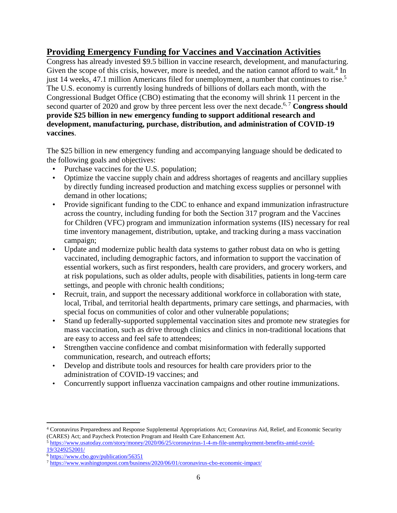# **Providing Emergency Funding for Vaccines and Vaccination Activities**

Congress has already invested \$9.5 billion in vaccine research, development, and manufacturing. Given the scope of this crisis, however, more is needed, and the nation cannot afford to wait.<sup>4</sup> In just 14 weeks, 47.1 million Americans filed for unemployment, a number that continues to rise.<sup>5</sup> The U.S. economy is currently losing hundreds of billions of dollars each month, with the Congressional Budget Office (CBO) estimating that the economy will shrink 11 percent in the second quarter of 2020 and grow by three percent less over the next decade.<sup>6,7</sup> Congress should **provide \$25 billion in new emergency funding to support additional research and development, manufacturing, purchase, distribution, and administration of COVID-19 vaccines**.

The \$25 billion in new emergency funding and accompanying language should be dedicated to the following goals and objectives:

- Purchase vaccines for the U.S. population;
- Optimize the vaccine supply chain and address shortages of reagents and ancillary supplies by directly funding increased production and matching excess supplies or personnel with demand in other locations;
- Provide significant funding to the CDC to enhance and expand immunization infrastructure across the country, including funding for both the Section 317 program and the Vaccines for Children (VFC) program and immunization information systems (IIS) necessary for real time inventory management, distribution, uptake, and tracking during a mass vaccination campaign;
- Update and modernize public health data systems to gather robust data on who is getting vaccinated, including demographic factors, and information to support the vaccination of essential workers, such as first responders, health care providers, and grocery workers, and at risk populations, such as older adults, people with disabilities, patients in long-term care settings, and people with chronic health conditions;
- Recruit, train, and support the necessary additional workforce in collaboration with state, local, Tribal, and territorial health departments, primary care settings, and pharmacies, with special focus on communities of color and other vulnerable populations;
- Stand up federally-supported supplemental vaccination sites and promote new strategies for mass vaccination, such as drive through clinics and clinics in non-traditional locations that are easy to access and feel safe to attendees;
- Strengthen vaccine confidence and combat misinformation with federally supported communication, research, and outreach efforts;
- Develop and distribute tools and resources for health care providers prior to the administration of COVID-19 vaccines; and
- Concurrently support influenza vaccination campaigns and other routine immunizations.

 $\overline{a}$ 

<sup>4</sup> Coronavirus Preparedness and Response Supplemental Appropriations Act; Coronavirus Aid, Relief, and Economic Security (CARES) Act; and Paycheck Protection Program and Health Care Enhancement Act.

<sup>5</sup> [https://www.usatoday.com/story/money/2020/06/25/coronavirus-1-4-m-file-unemployment-benefits-amid-covid-](https://www.usatoday.com/story/money/2020/06/25/coronavirus-1-4-m-file-unemployment-benefits-amid-covid-19/3249252001/)[19/3249252001/](https://www.usatoday.com/story/money/2020/06/25/coronavirus-1-4-m-file-unemployment-benefits-amid-covid-19/3249252001/)

 $6$  <https://www.cbo.gov/publication/56351>

<sup>7</sup> <https://www.washingtonpost.com/business/2020/06/01/coronavirus-cbo-economic-impact/>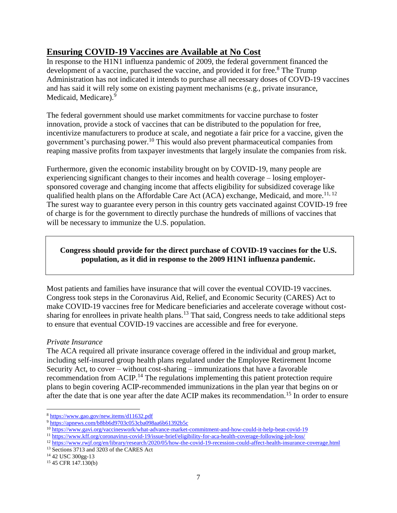# **Ensuring COVID-19 Vaccines are Available at No Cost**

In response to the H1N1 influenza pandemic of 2009, the federal government financed the development of a vaccine, purchased the vaccine, and provided it for free.<sup>8</sup> The Trump Administration has not indicated it intends to purchase all necessary doses of COVD-19 vaccines and has said it will rely some on existing payment mechanisms (e.g., private insurance, Medicaid, Medicare).<sup>9</sup>

The federal government should use market commitments for vaccine purchase to foster innovation, provide a stock of vaccines that can be distributed to the population for free, incentivize manufacturers to produce at scale, and negotiate a fair price for a vaccine, given the government's purchasing power.<sup>10</sup> This would also prevent pharmaceutical companies from reaping massive profits from taxpayer investments that largely insulate the companies from risk.

Furthermore, given the economic instability brought on by COVID-19, many people are experiencing significant changes to their incomes and health coverage – losing employersponsored coverage and changing income that affects eligibility for subsidized coverage like qualified health plans on the Affordable Care Act (ACA) exchange, Medicaid, and more.<sup>11, 12</sup> The surest way to guarantee every person in this country gets vaccinated against COVID-19 free of charge is for the government to directly purchase the hundreds of millions of vaccines that will be necessary to immunize the U.S. population.

### **Congress should provide for the direct purchase of COVID-19 vaccines for the U.S. population, as it did in response to the 2009 H1N1 influenza pandemic.**

Most patients and families have insurance that will cover the eventual COVID-19 vaccines. Congress took steps in the Coronavirus Aid, Relief, and Economic Security (CARES) Act to make COVID-19 vaccines free for Medicare beneficiaries and accelerate coverage without costsharing for enrollees in private health plans.<sup>13</sup> That said, Congress needs to take additional steps to ensure that eventual COVID-19 vaccines are accessible and free for everyone.

#### *Private Insurance*

The ACA required all private insurance coverage offered in the individual and group market, including self-insured group health plans regulated under the Employee Retirement Income Security Act, to cover – without cost-sharing – immunizations that have a favorable recommendation from ACIP.<sup>14</sup> The regulations implementing this patient protection require plans to begin covering ACIP-recommended immunizations in the plan year that begins on or after the date that is one year after the date ACIP makes its recommendation.<sup>15</sup> In order to ensure

 $\overline{\phantom{a}}$ 

<sup>8</sup> <https://www.gao.gov/new.items/d11632.pdf>

<sup>9</sup> <https://apnews.com/b8bb6d9703c053cba098aa6b61392b5c>

<sup>10</sup> <https://www.gavi.org/vaccineswork/what-advance-market-commitment-and-how-could-it-help-beat-covid-19>

<sup>11</sup> <https://www.kff.org/coronavirus-covid-19/issue-brief/eligibility-for-aca-health-coverage-following-job-loss/>

<sup>12</sup> <https://www.rwjf.org/en/library/research/2020/05/how-the-covid-19-recession-could-affect-health-insurance-coverage.html>

<sup>13</sup> Sections 3713 and 3203 of the CARES Act

<sup>14</sup> 42 USC 300gg-13

<sup>15</sup> 45 CFR 147.130(b)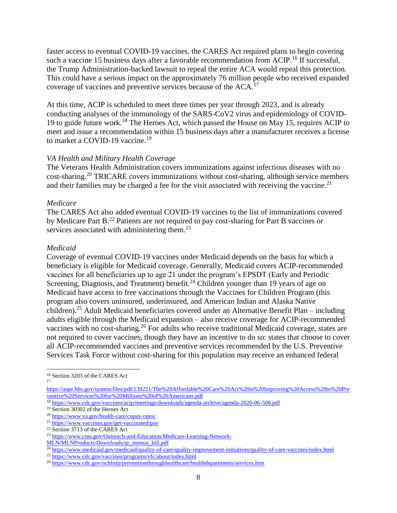faster access to eventual COVID-19 vaccines, the CARES Act required plans to begin covering such a vaccine 15 business days after a favorable recommendation from ACIP.<sup>16</sup> If successful, the Trump Administration-backed lawsuit to repeal the entire ACA would repeal this protection. This could have a serious impact on the approximately 76 million people who received expanded coverage of vaccines and preventive services because of the ACA.<sup>17</sup>

At this time, ACIP is scheduled to meet three times per year through 2023, and is already conducting analyses of the immunology of the SARS-CoV2 virus and epidemiology of COVID-19 to guide future work.<sup>18</sup> The Heroes Act, which passed the House on May 15, requires ACIP to meet and issue a recommendation within 15 business days after a manufacturer receives a license to market a COVID-19 vaccine.<sup>19</sup>

#### *VA Health and Military Health Coverage*

The Veterans Health Administration covers immunizations against infectious diseases with no cost-sharing.<sup>20</sup> TRICARE covers immunizations without cost-sharing, although service members and their families may be charged a fee for the visit associated with receiving the vaccine.<sup>21</sup>

#### *Medicare*

The CARES Act also added eventual COVID-19 vaccines to the list of immunizations covered by Medicare Part B.<sup>22</sup> Patients are not required to pay cost-sharing for Part B vaccines or services associated with administering them.<sup>23</sup>

#### *Medicaid*

Coverage of eventual COVID-19 vaccines under Medicaid depends on the basis for which a beneficiary is eligible for Medicaid coverage. Generally, Medicaid covers ACIP-recommended vaccines for all beneficiaries up to age 21 under the program's EPSDT (Early and Periodic Screening, Diagnosis, and Treatment) benefit.<sup>24</sup> Children younger than 19 years of age on Medicaid have access to free vaccinations through the Vaccines for Children Program (this program also covers uninsured, underinsured, and American Indian and Alaska Native children).<sup>25</sup> Adult Medicaid beneficiaries covered under an Alternative Benefit Plan – including adults eligible through the Medicaid expansion – also receive coverage for ACIP-recommended vaccines with no cost-sharing.<sup>26</sup> For adults who receive traditional Medicaid coverage, states are not required to cover vaccines, though they have an incentive to do so: states that choose to cover all ACIP-recommended vaccines and preventive services recommended by the U.S. Preventive Services Task Force without cost-sharing for this population may receive an enhanced federal

l

<sup>16</sup> Section 3203 of the CARES Act

<sup>17</sup>

[https://aspe.hhs.gov/system/files/pdf/139221/The%20Affordable%20Care%20Act%20is%20Improving%20Access%20to%20Pre](https://aspe.hhs.gov/system/files/pdf/139221/The%20Affordable%20Care%20Act%20is%20Improving%20Access%20to%20Preventive%20Services%20for%20Millions%20of%20Americans.pdf) [ventive%20Services%20for%20Millions%20of%20Americans.pdf](https://aspe.hhs.gov/system/files/pdf/139221/The%20Affordable%20Care%20Act%20is%20Improving%20Access%20to%20Preventive%20Services%20for%20Millions%20of%20Americans.pdf)

<sup>18</sup> <https://www.cdc.gov/vaccines/acip/meetings/downloads/agenda-archive/agenda-2020-06-508.pdf>

<sup>19</sup> Section 30302 of the Heroes Act

<sup>20</sup> <https://www.va.gov/health-care/copay-rates/>

<sup>21</sup> <https://www.vaccines.gov/get-vaccinated/pay>

<sup>22</sup> Section 3713 of the CARES Act

<sup>23</sup> [https://www.cms.gov/Outreach-and-Education/Medicare-Learning-Network-](https://www.cms.gov/Outreach-and-Education/Medicare-Learning-Network-MLN/MLNProducts/Downloads/qr_immun_bill.pdf)

[MLN/MLNProducts/Downloads/qr\\_immun\\_bill.pdf](https://www.cms.gov/Outreach-and-Education/Medicare-Learning-Network-MLN/MLNProducts/Downloads/qr_immun_bill.pdf)

<sup>&</sup>lt;sup>24</sup> <https://www.medicaid.gov/medicaid/quality-of-care/quality-improvement-initiatives/quality-of-care-vaccines/index.html>

<sup>&</sup>lt;sup>25</sup> <https://www.cdc.gov/vaccines/programs/vfc/about/index.html>

<sup>26</sup> <https://www.cdc.gov/nchhstp/preventionthroughhealthcare/healthdepartments/services.htm>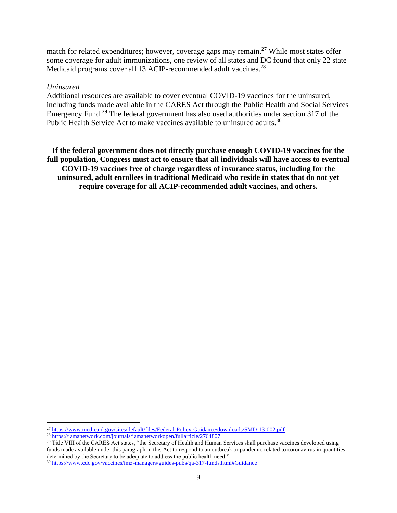match for related expenditures; however, coverage gaps may remain.<sup>27</sup> While most states offer some coverage for adult immunizations, one review of all states and DC found that only 22 state Medicaid programs cover all 13 ACIP-recommended adult vaccines.<sup>28</sup>

#### *Uninsured*

 $\overline{a}$ 

Additional resources are available to cover eventual COVID-19 vaccines for the uninsured, including funds made available in the CARES Act through the Public Health and Social Services Emergency Fund.<sup>29</sup> The federal government has also used authorities under section 317 of the Public Health Service Act to make vaccines available to uninsured adults.<sup>30</sup>

**If the federal government does not directly purchase enough COVID-19 vaccines for the full population, Congress must act to ensure that all individuals will have access to eventual COVID-19 vaccines free of charge regardless of insurance status, including for the uninsured, adult enrollees in traditional Medicaid who reside in states that do not yet require coverage for all ACIP-recommended adult vaccines, and others.** 

<sup>27</sup> <https://www.medicaid.gov/sites/default/files/Federal-Policy-Guidance/downloads/SMD-13-002.pdf>

<sup>&</sup>lt;sup>28</sup> <https://jamanetwork.com/journals/jamanetworkopen/fullarticle/2764807>

<sup>&</sup>lt;sup>29</sup> Title VIII of the CARES Act states, "the Secretary of Health and Human Services shall purchase vaccines developed using funds made available under this paragraph in this Act to respond to an outbreak or pandemic related to coronavirus in quantities determined by the Secretary to be adequate to address the public health need:"

<sup>30</sup> <https://www.cdc.gov/vaccines/imz-managers/guides-pubs/qa-317-funds.html#Guidance>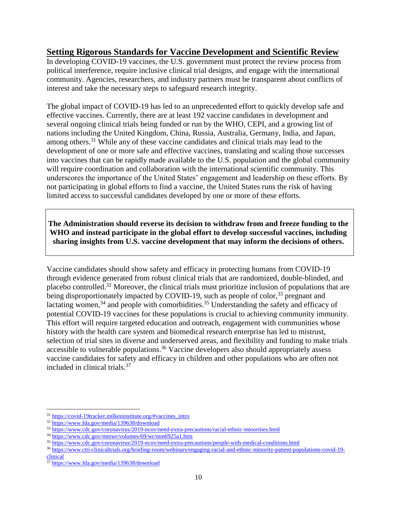## **Setting Rigorous Standards for Vaccine Development and Scientific Review**

In developing COVID-19 vaccines, the U.S. government must protect the review process from political interference, require inclusive clinical trial designs, and engage with the international community. Agencies, researchers, and industry partners must be transparent about conflicts of interest and take the necessary steps to safeguard research integrity.

The global impact of COVID-19 has led to an unprecedented effort to quickly develop safe and effective vaccines. Currently, there are at least 192 vaccine candidates in development and several ongoing clinical trials being funded or run by the WHO, CEPI, and a growing list of nations including the United Kingdom, China, Russia, Australia, Germany, India, and Japan, among others.<sup>31</sup> While any of these vaccine candidates and clinical trials may lead to the development of one or more safe and effective vaccines, translating and scaling those successes into vaccines that can be rapidly made available to the U.S. population and the global community will require coordination and collaboration with the international scientific community. This underscores the importance of the United States' engagement and leadership on these efforts. By not participating in global efforts to find a vaccine, the United States runs the risk of having limited access to successful candidates developed by one or more of these efforts.

**The Administration should reverse its decision to withdraw from and freeze funding to the WHO and instead participate in the global effort to develop successful vaccines, including sharing insights from U.S. vaccine development that may inform the decisions of others.**

Vaccine candidates should show safety and efficacy in protecting humans from COVID-19 through evidence generated from robust clinical trials that are randomized, double-blinded, and placebo controlled.<sup>32</sup> Moreover, the clinical trials must prioritize inclusion of populations that are being disproportionately impacted by COVID-19, such as people of color,<sup>33</sup> pregnant and lactating women,  $34$  and people with comorbidities.  $35$  Understanding the safety and efficacy of potential COVID-19 vaccines for these populations is crucial to achieving community immunity. This effort will require targeted education and outreach, engagement with communities whose history with the health care system and biomedical research enterprise has led to mistrust, selection of trial sites in diverse and underserved areas, and flexibility and funding to make trials accessible to vulnerable populations.<sup>36</sup> Vaccine developers also should appropriately assess vaccine candidates for safety and efficacy in children and other populations who are often not included in clinical trials. 37

 $\overline{\phantom{a}}$ 

<sup>31</sup> [https://covid-19tracker.milkeninstitute.org/#vaccines\\_intro](https://covid-19tracker.milkeninstitute.org/#vaccines_intro)

<sup>32</sup> <https://www.fda.gov/media/139638/download>

<sup>33</sup> <https://www.cdc.gov/coronavirus/2019-ncov/need-extra-precautions/racial-ethnic-minorities.html>

<sup>34</sup> <https://www.cdc.gov/mmwr/volumes/69/wr/mm6925a1.htm>

<sup>35</sup> <https://www.cdc.gov/coronavirus/2019-ncov/need-extra-precautions/people-with-medical-conditions.html>

<sup>36</sup> [https://www.ctti-clinicaltrials.org/briefing-room/webinars/engaging-racial-and-ethnic-minority-patient-populations-covid-19](https://www.ctti-clinicaltrials.org/briefing-room/webinars/engaging-racial-and-ethnic-minority-patient-populations-covid-19-clinical) [clinical](https://www.ctti-clinicaltrials.org/briefing-room/webinars/engaging-racial-and-ethnic-minority-patient-populations-covid-19-clinical)

<sup>37</sup> <https://www.fda.gov/media/139638/download>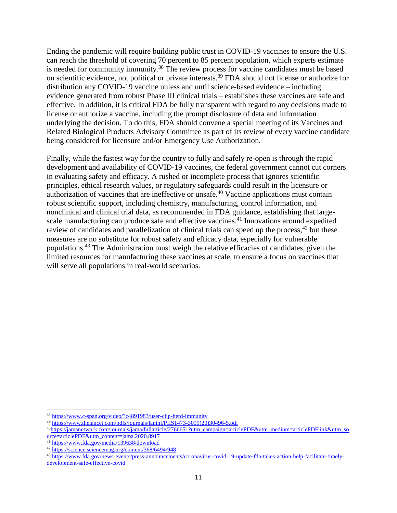Ending the pandemic will require building public trust in COVID-19 vaccines to ensure the U.S. can reach the threshold of covering 70 percent to 85 percent population, which experts estimate is needed for community immunity.<sup>38</sup> The review process for vaccine candidates must be based on scientific evidence, not political or private interests.<sup>39</sup> FDA should not license or authorize for distribution any COVID-19 vaccine unless and until science-based evidence – including evidence generated from robust Phase III clinical trials – establishes these vaccines are safe and effective. In addition, it is critical FDA be fully transparent with regard to any decisions made to license or authorize a vaccine, including the prompt disclosure of data and information underlying the decision. To do this, FDA should convene a special meeting of its Vaccines and Related Biological Products Advisory Committee as part of its review of every vaccine candidate being considered for licensure and/or Emergency Use Authorization.

Finally, while the fastest way for the country to fully and safely re-open is through the rapid development and availability of COVID-19 vaccines, the federal government cannot cut corners in evaluating safety and efficacy. A rushed or incomplete process that ignores scientific principles, ethical research values, or regulatory safeguards could result in the licensure or authorization of vaccines that are ineffective or unsafe. <sup>40</sup> Vaccine applications must contain robust scientific support, including chemistry, manufacturing, control information, and nonclinical and clinical trial data, as recommended in FDA guidance, establishing that largescale manufacturing can produce safe and effective vaccines.<sup>41</sup> Innovations around expedited review of candidates and parallelization of clinical trials can speed up the process,<sup>42</sup> but these measures are no substitute for robust safety and efficacy data, especially for vulnerable populations.<sup>43</sup> The Administration must weigh the relative efficacies of candidates, given the limited resources for manufacturing these vaccines at scale, to ensure a focus on vaccines that will serve all populations in real-world scenarios.

 $\overline{\phantom{a}}$ 

<sup>&</sup>lt;sup>38</sup> <https://www.c-span.org/video/?c4891983/user-clip-herd-immunity>

<sup>39</sup> [https://www.thelancet.com/pdfs/journals/laninf/PIIS1473-3099\(20\)30496-5.pdf](https://www.thelancet.com/pdfs/journals/laninf/PIIS1473-3099(20)30496-5.pdf)

<sup>40</sup>[https://jamanetwork.com/journals/jama/fullarticle/2766651?utm\\_campaign=articlePDF&utm\\_medium=articlePDFlink&utm\\_so](https://jamanetwork.com/journals/jama/fullarticle/2766651?utm_campaign=articlePDF&utm_medium=articlePDFlink&utm_source=articlePDF&utm_content=jama.2020.8917) [urce=articlePDF&utm\\_content=jama.2020.8917](https://jamanetwork.com/journals/jama/fullarticle/2766651?utm_campaign=articlePDF&utm_medium=articlePDFlink&utm_source=articlePDF&utm_content=jama.2020.8917)

<sup>&</sup>lt;sup>41</sup> <https://www.fda.gov/media/139638/download>

<sup>42</sup> <https://science.sciencemag.org/content/368/6494/948>

<sup>43</sup> [https://www.fda.gov/news-events/press-announcements/coronavirus-covid-19-update-fda-takes-action-help-facilitate-timely](https://www.fda.gov/news-events/press-announcements/coronavirus-covid-19-update-fda-takes-action-help-facilitate-timely-development-safe-effective-covid)[development-safe-effective-covid](https://www.fda.gov/news-events/press-announcements/coronavirus-covid-19-update-fda-takes-action-help-facilitate-timely-development-safe-effective-covid)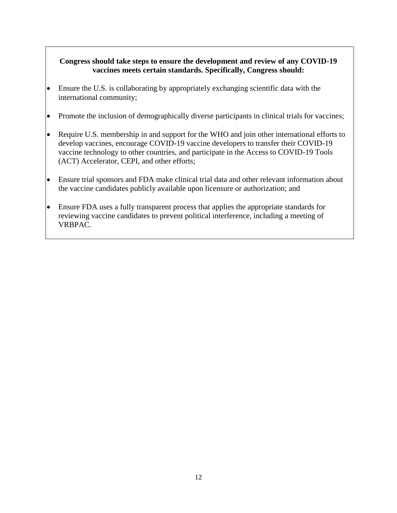### **Congress should take steps to ensure the development and review of any COVID-19 vaccines meets certain standards. Specifically, Congress should:**

- Ensure the U.S. is collaborating by appropriately exchanging scientific data with the international community;
- Promote the inclusion of demographically diverse participants in clinical trials for vaccines;
- Require U.S. membership in and support for the WHO and join other international efforts to develop vaccines, encourage COVID-19 vaccine developers to transfer their COVID-19 vaccine technology to other countries, and participate in the Access to COVID-19 Tools (ACT) Accelerator, CEPI, and other efforts;
- Ensure trial sponsors and FDA make clinical trial data and other relevant information about the vaccine candidates publicly available upon licensure or authorization; and
- Ensure FDA uses a fully transparent process that applies the appropriate standards for reviewing vaccine candidates to prevent political interference, including a meeting of VRBPAC.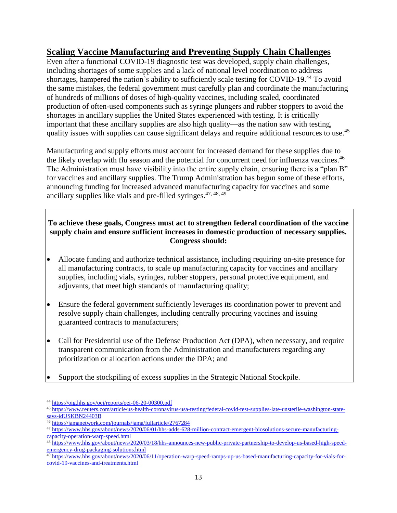## **Scaling Vaccine Manufacturing and Preventing Supply Chain Challenges**

Even after a functional COVID-19 diagnostic test was developed, supply chain challenges, including shortages of some supplies and a lack of national level coordination to address shortages, hampered the nation's ability to sufficiently scale testing for COVID-19.<sup>44</sup> To avoid the same mistakes, the federal government must carefully plan and coordinate the manufacturing of hundreds of millions of doses of high-quality vaccines, including scaled, coordinated production of often-used components such as syringe plungers and rubber stoppers to avoid the shortages in ancillary supplies the United States experienced with testing. It is critically important that these ancillary supplies are also high quality—as the nation saw with testing, quality issues with supplies can cause significant delays and require additional resources to use.<sup>45</sup>

Manufacturing and supply efforts must account for increased demand for these supplies due to the likely overlap with flu season and the potential for concurrent need for influenza vaccines.<sup>46</sup> The Administration must have visibility into the entire supply chain, ensuring there is a "plan B" for vaccines and ancillary supplies. The Trump Administration has begun some of these efforts, announcing funding for increased advanced manufacturing capacity for vaccines and some ancillary supplies like vials and pre-filled syringes.47, 48, <sup>49</sup>

### **To achieve these goals, Congress must act to strengthen federal coordination of the vaccine supply chain and ensure sufficient increases in domestic production of necessary supplies. Congress should:**

- Allocate funding and authorize technical assistance, including requiring on-site presence for all manufacturing contracts, to scale up manufacturing capacity for vaccines and ancillary supplies, including vials, syringes, rubber stoppers, personal protective equipment, and adjuvants, that meet high standards of manufacturing quality;
- Ensure the federal government sufficiently leverages its coordination power to prevent and resolve supply chain challenges, including centrally procuring vaccines and issuing guaranteed contracts to manufacturers;
- Call for Presidential use of the Defense Production Act (DPA), when necessary, and require transparent communication from the Administration and manufacturers regarding any prioritization or allocation actions under the DPA; and
- Support the stockpiling of excess supplies in the Strategic National Stockpile.

 $\overline{\phantom{a}}$ <sup>44</sup> <https://oig.hhs.gov/oei/reports/oei-06-20-00300.pdf>

<sup>45</sup> [https://www.reuters.com/article/us-health-coronavirus-usa-testing/federal-covid-test-supplies-late-unsterile-washington-state](https://www.reuters.com/article/us-health-coronavirus-usa-testing/federal-covid-test-supplies-late-unsterile-washington-state-says-idUSKBN24403B)[says-idUSKBN24403B](https://www.reuters.com/article/us-health-coronavirus-usa-testing/federal-covid-test-supplies-late-unsterile-washington-state-says-idUSKBN24403B)

<sup>46</sup> <https://jamanetwork.com/journals/jama/fullarticle/2767284>

<sup>47</sup> [https://www.hhs.gov/about/news/2020/06/01/hhs-adds-628-million-contract-emergent-biosolutions-secure-manufacturing](https://www.hhs.gov/about/news/2020/06/01/hhs-adds-628-million-contract-emergent-biosolutions-secure-manufacturing-capacity-operation-warp-speed.html)[capacity-operation-warp-speed.html](https://www.hhs.gov/about/news/2020/06/01/hhs-adds-628-million-contract-emergent-biosolutions-secure-manufacturing-capacity-operation-warp-speed.html)

<sup>48</sup> [https://www.hhs.gov/about/news/2020/03/18/hhs-announces-new-public-private-partnership-to-develop-us-based-high-speed](https://www.hhs.gov/about/news/2020/03/18/hhs-announces-new-public-private-partnership-to-develop-us-based-high-speed-emergency-drug-packaging-solutions.html)[emergency-drug-packaging-solutions.html](https://www.hhs.gov/about/news/2020/03/18/hhs-announces-new-public-private-partnership-to-develop-us-based-high-speed-emergency-drug-packaging-solutions.html)

<sup>49</sup> [https://www.hhs.gov/about/news/2020/06/11/operation-warp-speed-ramps-up-us-based-manufacturing-capacity-for-vials-for](https://www.hhs.gov/about/news/2020/06/11/operation-warp-speed-ramps-up-us-based-manufacturing-capacity-for-vials-for-covid-19-vaccines-and-treatments.html)[covid-19-vaccines-and-treatments.html](https://www.hhs.gov/about/news/2020/06/11/operation-warp-speed-ramps-up-us-based-manufacturing-capacity-for-vials-for-covid-19-vaccines-and-treatments.html)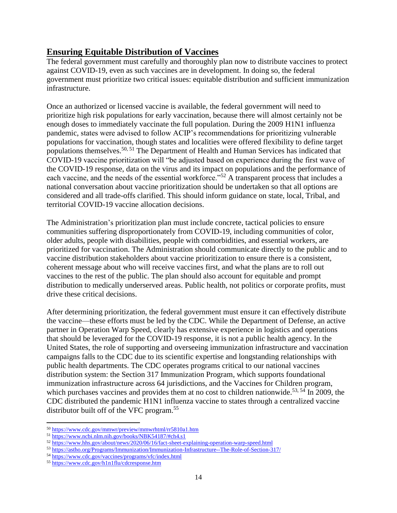## **Ensuring Equitable Distribution of Vaccines**

The federal government must carefully and thoroughly plan now to distribute vaccines to protect against COVID-19, even as such vaccines are in development. In doing so, the federal government must prioritize two critical issues: equitable distribution and sufficient immunization infrastructure.

Once an authorized or licensed vaccine is available, the federal government will need to prioritize high risk populations for early vaccination, because there will almost certainly not be enough doses to immediately vaccinate the full population. During the 2009 H1N1 influenza pandemic, states were advised to follow ACIP's recommendations for prioritizing vulnerable populations for vaccination, though states and localities were offered flexibility to define target populations themselves.50, <sup>51</sup> The Department of Health and Human Services has indicated that COVID-19 vaccine prioritization will "be adjusted based on experience during the first wave of the COVID-19 response, data on the virus and its impact on populations and the performance of each vaccine, and the needs of the essential workforce."<sup>52</sup> A transparent process that includes a national conversation about vaccine prioritization should be undertaken so that all options are considered and all trade-offs clarified. This should inform guidance on state, local, Tribal, and territorial COVID-19 vaccine allocation decisions.

The Administration's prioritization plan must include concrete, tactical policies to ensure communities suffering disproportionately from COVID-19, including communities of color, older adults, people with disabilities, people with comorbidities, and essential workers, are prioritized for vaccination. The Administration should communicate directly to the public and to vaccine distribution stakeholders about vaccine prioritization to ensure there is a consistent, coherent message about who will receive vaccines first, and what the plans are to roll out vaccines to the rest of the public. The plan should also account for equitable and prompt distribution to medically underserved areas. Public health, not politics or corporate profits, must drive these critical decisions.

After determining prioritization, the federal government must ensure it can effectively distribute the vaccine—these efforts must be led by the CDC. While the Department of Defense, an active partner in Operation Warp Speed, clearly has extensive experience in logistics and operations that should be leveraged for the COVID-19 response, it is not a public health agency. In the United States, the role of supporting and overseeing immunization infrastructure and vaccination campaigns falls to the CDC due to its scientific expertise and longstanding relationships with public health departments. The CDC operates programs critical to our national vaccines distribution system: the Section 317 Immunization Program, which supports foundational immunization infrastructure across 64 jurisdictions, and the Vaccines for Children program, which purchases vaccines and provides them at no cost to children nationwide.<sup>53, 54</sup> In 2009, the CDC distributed the pandemic H1N1 influenza vaccine to states through a centralized vaccine distributor built off of the VFC program.<sup>55</sup>

 $\overline{a}$ <sup>50</sup> <https://www.cdc.gov/mmwr/preview/mmwrhtml/rr5810a1.htm>

<sup>51</sup> <https://www.ncbi.nlm.nih.gov/books/NBK54187/#ch4.s1>

<sup>52</sup> <https://www.hhs.gov/about/news/2020/06/16/fact-sheet-explaining-operation-warp-speed.html>

<sup>53</sup> <https://astho.org/Programs/Immunization/Immunization-Infrastructure--The-Role-of-Section-317/>

<sup>&</sup>lt;sup>54</sup> <https://www.cdc.gov/vaccines/programs/vfc/index.html>

<sup>55</sup> <https://www.cdc.gov/h1n1flu/cdcresponse.htm>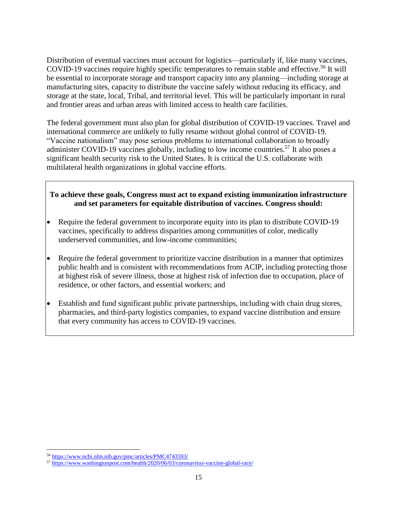Distribution of eventual vaccines must account for logistics—particularly if, like many vaccines, COVID-19 vaccines require highly specific temperatures to remain stable and effective.<sup>56</sup> It will be essential to incorporate storage and transport capacity into any planning—including storage at manufacturing sites, capacity to distribute the vaccine safely without reducing its efficacy, and storage at the state, local, Tribal, and territorial level. This will be particularly important in rural and frontier areas and urban areas with limited access to health care facilities.

The federal government must also plan for global distribution of COVID-19 vaccines. Travel and international commerce are unlikely to fully resume without global control of COVID-19. "Vaccine nationalism" may pose serious problems to international collaboration to broadly administer COVID-19 vaccines globally, including to low income countries.<sup>57</sup> It also poses a significant health security risk to the United States. It is critical the U.S. collaborate with multilateral health organizations in global vaccine efforts.

### **To achieve these goals, Congress must act to expand existing immunization infrastructure and set parameters for equitable distribution of vaccines. Congress should:**

- Require the federal government to incorporate equity into its plan to distribute COVID-19 vaccines, specifically to address disparities among communities of color, medically underserved communities, and low-income communities;
- Require the federal government to prioritize vaccine distribution in a manner that optimizes public health and is consistent with recommendations from ACIP, including protecting those at highest risk of severe illness, those at highest risk of infection due to occupation, place of residence, or other factors, and essential workers; and
- Establish and fund significant public private partnerships, including with chain drug stores, pharmacies, and third-party logistics companies, to expand vaccine distribution and ensure that every community has access to COVID-19 vaccines.

 $\overline{\phantom{a}}$ <sup>56</sup> <https://www.ncbi.nlm.nih.gov/pmc/articles/PMC4743593/>

<sup>57</sup> <https://www.washingtonpost.com/health/2020/06/03/coronavirus-vaccine-global-race/>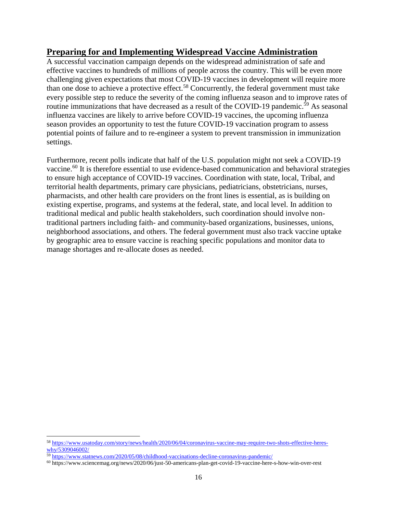## **Preparing for and Implementing Widespread Vaccine Administration**

A successful vaccination campaign depends on the widespread administration of safe and effective vaccines to hundreds of millions of people across the country. This will be even more challenging given expectations that most COVID-19 vaccines in development will require more than one dose to achieve a protective effect.<sup>58</sup> Concurrently, the federal government must take every possible step to reduce the severity of the coming influenza season and to improve rates of routine immunizations that have decreased as a result of the COVID-19 pandemic.<sup>59</sup> As seasonal influenza vaccines are likely to arrive before COVID-19 vaccines, the upcoming influenza season provides an opportunity to test the future COVID-19 vaccination program to assess potential points of failure and to re-engineer a system to prevent transmission in immunization settings.

Furthermore, recent polls indicate that half of the U.S. population might not seek a COVID-19 vaccine.<sup>60</sup> It is therefore essential to use evidence-based communication and behavioral strategies to ensure high acceptance of COVID-19 vaccines. Coordination with state, local, Tribal, and territorial health departments, primary care physicians, pediatricians, obstetricians, nurses, pharmacists, and other health care providers on the front lines is essential, as is building on existing expertise, programs, and systems at the federal, state, and local level. In addition to traditional medical and public health stakeholders, such coordination should involve nontraditional partners including faith- and community-based organizations, businesses, unions, neighborhood associations, and others. The federal government must also track vaccine uptake by geographic area to ensure vaccine is reaching specific populations and monitor data to manage shortages and re-allocate doses as needed.

 $\overline{a}$ 

<sup>58</sup> [https://www.usatoday.com/story/news/health/2020/06/04/coronavirus-vaccine-may-require-two-shots-effective-heres](https://www.usatoday.com/story/news/health/2020/06/04/coronavirus-vaccine-may-require-two-shots-effective-heres-why/5309046002/)[why/5309046002/](https://www.usatoday.com/story/news/health/2020/06/04/coronavirus-vaccine-may-require-two-shots-effective-heres-why/5309046002/)

<sup>59</sup> <https://www.statnews.com/2020/05/08/childhood-vaccinations-decline-coronavirus-pandemic/>

<sup>60</sup> https://www.sciencemag.org/news/2020/06/just-50-americans-plan-get-covid-19-vaccine-here-s-how-win-over-rest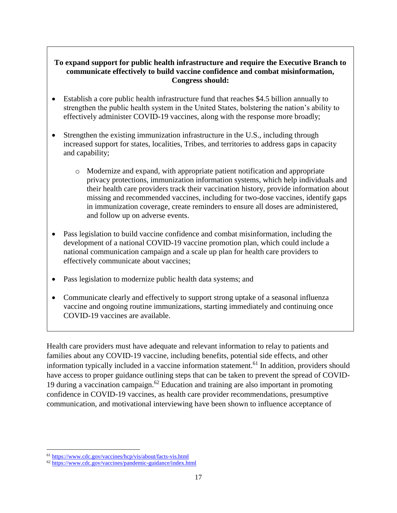### **To expand support for public health infrastructure and require the Executive Branch to communicate effectively to build vaccine confidence and combat misinformation, Congress should:**

- Establish a core public health infrastructure fund that reaches \$4.5 billion annually to strengthen the public health system in the United States, bolstering the nation's ability to effectively administer COVID-19 vaccines, along with the response more broadly;
- Strengthen the existing immunization infrastructure in the U.S., including through increased support for states, localities, Tribes, and territories to address gaps in capacity and capability;
	- o Modernize and expand, with appropriate patient notification and appropriate privacy protections, immunization information systems, which help individuals and their health care providers track their vaccination history, provide information about missing and recommended vaccines, including for two-dose vaccines, identify gaps in immunization coverage, create reminders to ensure all doses are administered, and follow up on adverse events.
- Pass legislation to build vaccine confidence and combat misinformation, including the development of a national COVID-19 vaccine promotion plan, which could include a national communication campaign and a scale up plan for health care providers to effectively communicate about vaccines;
- Pass legislation to modernize public health data systems; and
- Communicate clearly and effectively to support strong uptake of a seasonal influenza vaccine and ongoing routine immunizations, starting immediately and continuing once COVID-19 vaccines are available.

Health care providers must have adequate and relevant information to relay to patients and families about any COVID-19 vaccine, including benefits, potential side effects, and other information typically included in a vaccine information statement.<sup>61</sup> In addition, providers should have access to proper guidance outlining steps that can be taken to prevent the spread of COVID-19 during a vaccination campaign. $62$  Education and training are also important in promoting confidence in COVID-19 vaccines, as health care provider recommendations, presumptive communication, and motivational interviewing have been shown to influence acceptance of

 $\overline{\phantom{a}}$ <sup>61</sup> <https://www.cdc.gov/vaccines/hcp/vis/about/facts-vis.html>

<sup>62</sup> <https://www.cdc.gov/vaccines/pandemic-guidance/index.html>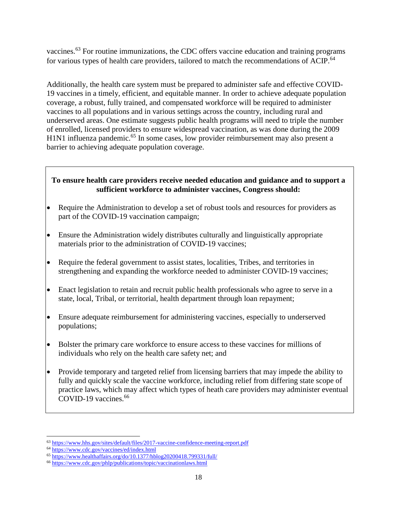vaccines.<sup>63</sup> For routine immunizations, the CDC offers vaccine education and training programs for various types of health care providers, tailored to match the recommendations of ACIP.<sup>64</sup>

Additionally, the health care system must be prepared to administer safe and effective COVID-19 vaccines in a timely, efficient, and equitable manner. In order to achieve adequate population coverage, a robust, fully trained, and compensated workforce will be required to administer vaccines to all populations and in various settings across the country, including rural and underserved areas. One estimate suggests public health programs will need to triple the number of enrolled, licensed providers to ensure widespread vaccination, as was done during the 2009 H1N1 influenza pandemic.<sup>65</sup> In some cases, low provider reimbursement may also present a barrier to achieving adequate population coverage.

### **To ensure health care providers receive needed education and guidance and to support a sufficient workforce to administer vaccines, Congress should:**

- Require the Administration to develop a set of robust tools and resources for providers as part of the COVID-19 vaccination campaign;
- Ensure the Administration widely distributes culturally and linguistically appropriate materials prior to the administration of COVID-19 vaccines;
- Require the federal government to assist states, localities, Tribes, and territories in strengthening and expanding the workforce needed to administer COVID-19 vaccines;
- Enact legislation to retain and recruit public health professionals who agree to serve in a state, local, Tribal, or territorial, health department through loan repayment;
- Ensure adequate reimbursement for administering vaccines, especially to underserved populations;
- Bolster the primary care workforce to ensure access to these vaccines for millions of individuals who rely on the health care safety net; and
- Provide temporary and targeted relief from licensing barriers that may impede the ability to fully and quickly scale the vaccine workforce, including relief from differing state scope of practice laws, which may affect which types of heath care providers may administer eventual COVID-19 vaccines. 66

 $\overline{a}$ <sup>63</sup> <https://www.hhs.gov/sites/default/files/2017-vaccine-confidence-meeting-report.pdf>

<sup>&</sup>lt;sup>64</sup> <https://www.cdc.gov/vaccines/ed/index.html>

<sup>65</sup> <https://www.healthaffairs.org/do/10.1377/hblog20200418.799331/full/>

<sup>66</sup> <https://www.cdc.gov/phlp/publications/topic/vaccinationlaws.html>